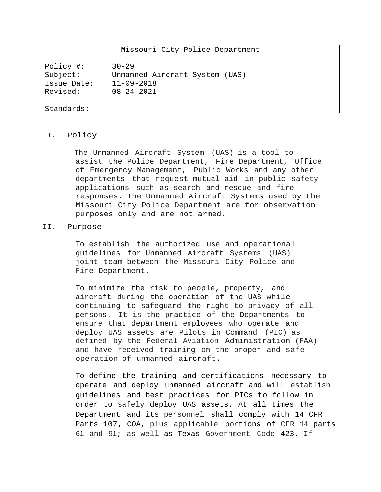# Missouri City Police Department

Policy #: 30-29 Subject: Unmanned Aircraft System (UAS) Issue Date: 11-09-2018 Revised: 08-24-2021

#### Standards:

#### I. Policy

The Unmanned Aircraft System (UAS) is a tool to assist the Police Department, Fire Department, Office of Emergency Management, Public Works and any other departments that request mutual-aid in public safety applications such as search and rescue and fire responses. The Unmanned Aircraft Systems used by the Missouri City Police Department are for observation purposes only and are not armed.

## II. Purpose

To establish the authorized use and operational guidelines for Unmanned Aircraft Systems (UAS) joint team between the Missouri City Police and Fire Department.

To minimize the risk to people, property, and aircraft during the operation of the UAS while continuing to safeguard the right to privacy of all persons. It is the practice of the Departments to ensure that department employees who operate and deploy UAS assets are Pilots in Command (PIC) as defined by the Federal Aviation Administration (FAA) and have received training on the proper and safe operation of unmanned aircraft.

To define the training and certifications necessary to operate and deploy unmanned aircraft and will establish guidelines and best practices for PICs to follow in order to safely deploy UAS assets. At all times the Department and its personnel shall comply with 14 CFR Parts 107, COA, plus applicable portions of CFR 14 parts 61 and 91; as well as Texas Government Code 423. If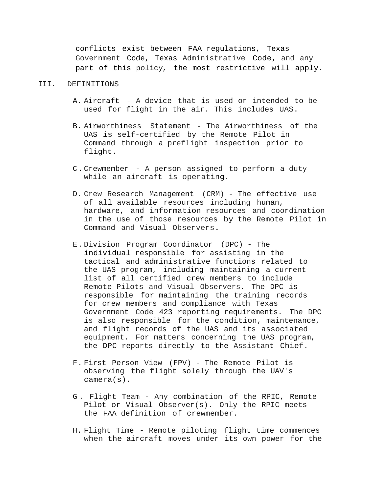conflicts exist between FAA regulations, Texas Government Code, Texas Administrative Code, and any part of this policy, the most restrictive will apply.

#### III. DEFINITIONS

- A. Aircraft A device that is used or intended to be used for flight in the air. This includes UAS.
- B. Airworthiness Statement The Airworthiness of the UAS is self-certified by the Remote Pilot in Command through a preflight inspection prior to flight.
- C. Crewmember A person assigned to perform a duty while an aircraft is operating.
- D. Crew Research Management (CRM) The effective use of all available resources including human, hardware, and information resources and coordination in the use of those resources by the Remote Pilot in Command and Visual Observers.
- E. Division Program Coordinator (DPC) The individual responsible for assisting in the tactical and administrative functions related to the UAS program, including maintaining a current list of all certified crew members to include Remote Pilots and Visual Observers. The DPC is responsible for maintaining the training records for crew members and compliance with Texas Government Code 423 reporting requirements. The DPC is also responsible for the condition, maintenance, and flight records of the UAS and its associated equipment. For matters concerning the UAS program, the DPC reports directly to the Assistant Chief.
- F. First Person View (FPV) The Remote Pilot is observing the flight solely through the UAV's camera(s).
- G . Flight Team Any combination of the RPIC, Remote Pilot or Visual Observer(s). Only the RPIC meets the FAA definition of crewmember.
- H. Flight Time Remote piloting flight time commences when the aircraft moves under its own power for the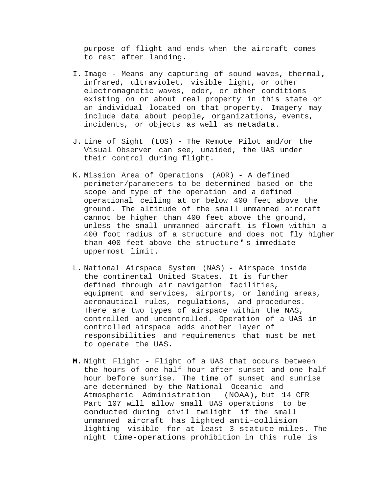purpose of flight and ends when the aircraft comes to rest after landing.

- I. Image Means any capturing of sound waves, thermal, infrared, ultraviolet, visible light, or other electromagnetic waves, odor, or other conditions existing on or about real property in this state or an individual located on that property. Imagery may include data about people, organizations, events, incidents, or objects as well as metadata.
- J. Line of Sight (LOS) The Remote Pilot and/or the Visual Observer can see, unaided, the UAS under their control during flight.
- K. Mission Area of Operations (AOR) A defined perimeter/parameters to be determined based on the scope and type of the operation and a defined operational ceiling at or below 400 feet above the ground. The altitude of the small unmanned aircraft cannot be higher than 400 feet above the ground, unless the small unmanned aircraft is flown within a 400 foot radius of a structure and does not fly higher than 400 feet above the structure's immediate uppermost limit.
- L. National Airspace System (NAS) Airspace inside the continental United States. It is further defined through air navigation facilities, equipment and services, airports, or landing areas, aeronautical rules, regulations, and procedures. There are two types of airspace within the NAS, controlled and uncontrolled. Operation of a UAS in controlled airspace adds another layer of responsibilities and requirements that must be met to operate the UAS.
- M. Night Flight Flight of a UAS that occurs between the hours of one half hour after sunset and one half hour before sunrise. The time of sunset and sunrise are determined by the National Oceanic and Atmospheric Administration (NOAA), but 14 CFR Part 107 will allow small UAS operations to be conducted during civil twilight if the small unmanned aircraft has lighted anti-collision lighting visible for at least 3 statute miles. The night time-operations prohibition in this rule is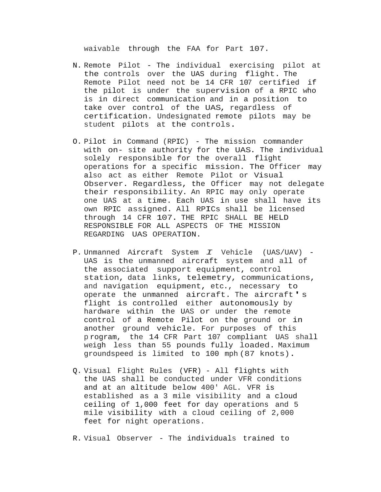waivable through the FAA for Part 107.

- N. Remote Pilot The individual exercising pilot at the controls over the UAS during flight. The Remote Pilot need not be 14 CFR 107 certified if the pilot is under the supervision of a RPIC who is in direct communication and in a position to take over control of the UAS, regardless of certification. Undesignated remote pilots may be student pilots at the controls.
- O. Pilot in Command (RPIC) The mission commander with on- site authority for the UAS. The individual solely responsible for the overall flight operations for a specific mission. The Officer may also act as either Remote Pilot or Visual Observer. Regardless, the Officer may not delegate their responsibility. An RPIC may only operate one UAS at a time. Each UAS in use shall have its own RPIC assigned. All RPICs shall be licensed through 14 CFR 107. THE RPIC SHALL BE HELD RESPONSIBLE FOR ALL ASPECTS OF THE MISSION REGARDING UAS OPERATION.
- P. Unmanned Aircraft System *I* Vehicle (UAS/UAV) UAS is the unmanned aircraft system and all of the associated support equipment, control station, data links, telemetry, communications, and navigation equipment, etc., necessary to operate the unmanned aircraft. The aircraft's flight is controlled either autonomously by hardware within the UAS or under the remote control of a Remote Pilot on the ground or in another ground vehicle. For purposes of this p rogram, the 14 CFR Part 107 compliant UAS shall weigh less than 55 pounds fully loaded. Maximum groundspeed is limited to 100 mph (87 knots).
- Q. Visual Flight Rules (VFR) All flights with the UAS shall be conducted under VFR conditions and at an altitude below 400' AGL. VFR is established as a 3 mile visibility and a cloud ceiling of 1,000 feet for day operations and 5 mile visibility with a cloud ceiling of 2,000 feet for night operations.

R. Visual Observer - The individuals trained to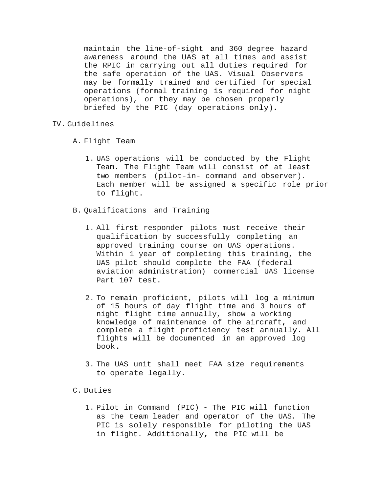maintain the line-of-sight and 360 degree hazard awareness around the UAS at all times and assist the RPIC in carrying out all duties required for the safe operation of the UAS. Visual Observers may be formally trained and certified for special operations (formal training is required for night operations), or they may be chosen properly briefed by the PIC (day operations only).

### IV. Guidelines

- A. Flight Team
	- 1. UAS operations will be conducted by the Flight Team. The Flight Team will consist of at least two members (pilot-in- command and observer). Each member will be assigned a specific role prior to flight.
- B. Qualifications and Training
	- 1. All first responder pilots must receive their qualification by successfully completing an approved training course on UAS operations. Within 1 year of completing this training, the UAS pilot should complete the FAA (federal aviation administration) commercial UAS license Part 107 test.
	- 2. To remain proficient, pilots will log a minimum of 15 hours of day flight time and 3 hours of night flight time annually, show a working knowledge of maintenance of the aircraft, and complete a flight proficiency test annually. All flights will be documented in an approved log book.
	- 3. The UAS unit shall meet FAA size requirements to operate legally.
- C. Duties
	- 1. Pilot in Command (PIC) The PIC will function as the team leader and operator of the UAS. The PIC is solely responsible for piloting the UAS in flight. Additionally, the PIC will be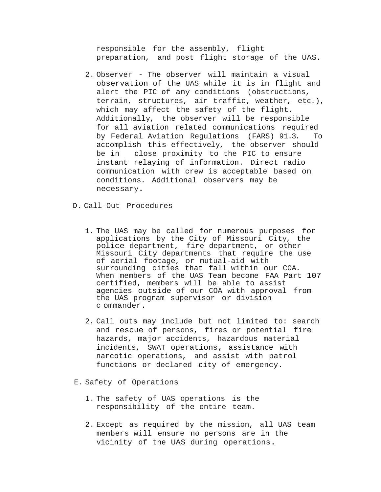responsible for the assembly, flight preparation, and post flight storage of the UAS.

- 2. Observer The observer will maintain a visual observation of the UAS while it is in flight and alert the PIC of any conditions (obstructions, terrain, structures, air traffic, weather, etc.), which may affect the safety of the flight. Additionally, the observer will be responsible for all aviation related communications required by Federal Aviation Regulations (FARS) 91.3. To accomplish this effectively, the observer should be in close proximity to the PIC to ensure instant relaying of information. Direct radio communication with crew is acceptable based on conditions. Additional observers may be necessary.
- D. Call-Out Procedures
	- 1. The UAS may be called for numerous purposes for applications by the City of Missouri City, the police department, fire department, or other Missouri City departments that require the use of aerial footage, or mutual-aid with surrounding cities that fall within our COA. When members of the UAS Team become FAA Part 107 certified, members will be able to assist agencies outside of our COA with approval from the UAS program supervisor or division c ommander.
	- 2. Call outs may include but not limited to: search and rescue of persons, fires or potential fire hazards, major accidents, hazardous material incidents, SWAT operations, assistance with narcotic operations, and assist with patrol functions or declared city of emergency.
- E. Safety of Operations
	- 1. The safety of UAS operations is the responsibility of the entire team.
	- 2. Except as required by the mission, all UAS team members will ensure no persons are in the vicinity of the UAS during operations.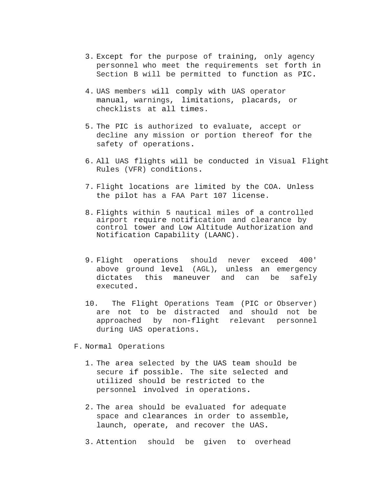- 3. Except for the purpose of training, only agency personnel who meet the requirements set forth in Section B will be permitted to function as PIC.
- 4. UAS members will comply with UAS operator manual, warnings, limitations, placards, or checklists at all times.
- 5. The PIC is authorized to evaluate, accept or decline any mission or portion thereof for the safety of operations.
- 6. All UAS flights will be conducted in Visual Flight Rules (VFR) conditions.
- 7. Flight locations are limited by the COA. Unless the pilot has a FAA Part 107 license.
- 8. Flights within 5 nautical miles of a controlled airport require notification and clearance by control tower and Low Altitude Authorization and Notification Capability (LAANC).
- 9. Flight operations should never exceed 400' above ground level (AGL), unless an emergency dictates this maneuver and can be safely executed.
- 10. The Flight Operations Team (PIC or Observer) are not to be distracted and should not be approached by non-flight relevant personnel during UAS operations.
- F. Normal Operations
	- 1. The area selected by the UAS team should be secure if possible. The site selected and utilized should be restricted to the personnel involved in operations.
	- 2. The area should be evaluated for adequate space and clearances in order to assemble, launch, operate, and recover the UAS.
	- 3. Attention should be given to overhead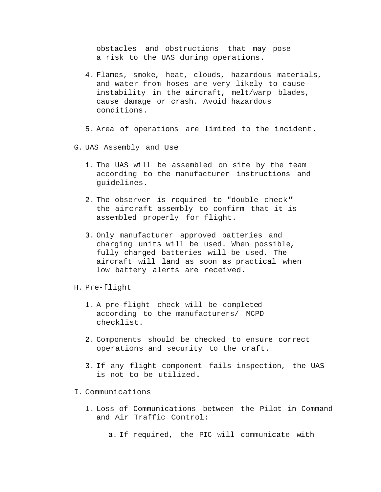obstacles and obstructions that may pose a risk to the UAS during operations.

- 4. Flames, smoke, heat, clouds, hazardous materials, and water from hoses are very likely to cause instability in the aircraft, melt/warp blades, cause damage or crash. Avoid hazardous conditions.
- 5. Area of operations are limited to the incident.
- G. UAS Assembly and Use
	- 1. The UAS will be assembled on site by the team according to the manufacturer instructions and guidelines.
	- 2. The observer is required to "double check" the aircraft assembly to confirm that it is assembled properly for flight.
	- 3. Only manufacturer approved batteries and charging units will be used. When possible, fully charged batteries will be used. The aircraft will land as soon as practical when low battery alerts are received.
- H. Pre-flight
	- 1. A pre-flight check will be completed according to the manufacturers/ MCPD checklist.
	- 2. Components should be checked to ensure correct operations and security to the craft.
	- 3. If any flight component fails inspection, the UAS is not to be utilized.
- I. Communications
	- 1. Loss of Communications between the Pilot in Command and Air Traffic Control:
		- a. If required, the PIC will communicate with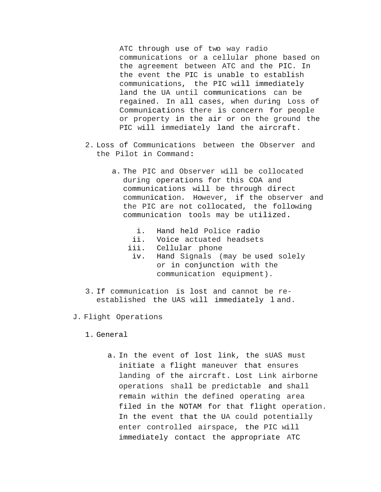ATC through use of two way radio communications or a cellular phone based on the agreement between ATC and the PIC. In the event the PIC is unable to establish communications, the PIC will immediately land the UA until communications can be regained. In all cases, when during Loss of Communications there is concern for people or property in the air or on the ground the PIC will immediately land the aircraft.

- 2. Loss of Communications between the Observer and the Pilot in Command:
	- a. The PIC and Observer will be collocated during operations for this COA and communications will be through direct communication. However, if the observer and the PIC are not collocated, the following communication tools may be utilized.
		- i. Hand held Police radio
		- ii. Voice actuated headsets
		- iii. Cellular phone
		- iv. Hand Signals (may be used solely or in conjunction with the communication equipment).
- 3. If communication is lost and cannot be reestablished the UAS will immediately l and.
- J. Flight Operations
	- 1. General
		- a. In the event of lost link, the sUAS must initiate a flight maneuver that ensures landing of the aircraft. Lost Link airborne operations shall be predictable and shall remain within the defined operating area filed in the NOTAM for that flight operation. In the event that the UA could potentially enter controlled airspace, the PIC will immediately contact the appropriate ATC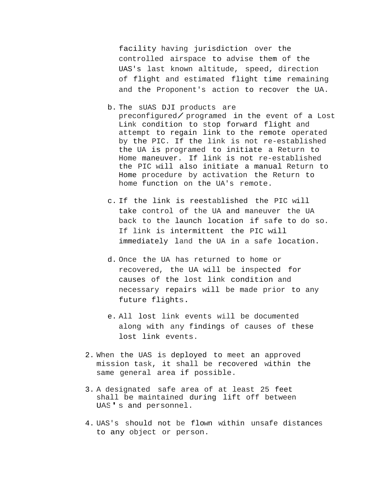facility having jurisdiction over the controlled airspace to advise them of the UAS's last known altitude, speed, direction of flight and estimated flight time remaining and the Proponent's action to recover the UA.

b. The sUAS DJI products are

preconfigured/ programed in the event of <sup>a</sup> Lost Link condition to stop forward flight and attempt to regain link to the remote operated by the PIC. If the link is not re-established the UA is programed to initiate a Return to Home maneuver. If link is not re-established the PIC will also initiate a manual Return to Home procedure by activation the Return to home function on the UA's remote.

- c. If the link is reestablished the PIC will take control of the UA and maneuver the UA back to the launch location if safe to do so. If link is intermittent the PIC will immediately land the UA in a safe location.
- d. Once the UA has returned to home or recovered, the UA will be inspected for causes of the lost link condition and necessary repairs will be made prior to any future flights.
- e. All lost link events will be documented along with any findings of causes of these lost link events.
- 2. When the UAS is deployed to meet an approved mission task, it shall be recovered within the same general area if possible.
- 3. A designated safe area of at least 25 feet shall be maintained during lift off between UAS's and personnel.
- 4. UAS's should not be flown within unsafe distances to any object or person.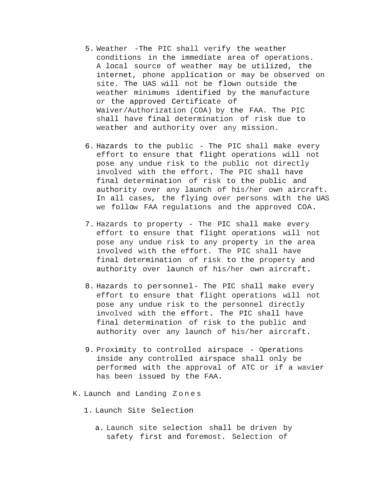- 5. Weather -The PIC shall verify the weather conditions in the immediate area of operations. A local source of weather may be utilized, the internet, phone application or may be observed on site. The UAS will not be flown outside the weather minimums identified by the manufacture or the approved Certificate of Waiver/Authorization (COA) by the FAA. The PIC shall have final determination of risk due to weather and authority over any mission.
- 6. Hazards to the public The PIC shall make every effort to ensure that flight operations will not pose any undue risk to the public not directly involved with the effort. The PIC shall have final determination of risk to the public and authority over any launch of his/her own aircraft. In all cases, the flying over persons with the UAS we follow FAA regulations and the approved COA.
- 7. Hazards to property The PIC shall make every effort to ensure that flight operations will not pose any undue risk to any property in the area involved with the effort. The PIC shall have final determination of risk to the property and authority over launch of his/her own aircraft.
- 8. Hazards to personnel- The PIC shall make every effort to ensure that flight operations will not pose any undue risk to the personnel directly involved with the effort. The PIC shall have final determination of risk to the public and authority over any launch of his/her aircraft.
- 9. Proximity to controlled airspace Operations inside any controlled airspace shall only be performed with the approval of ATC or if a wavier has been issued by the FAA.
- K. Launch and Landing Z o n e s
	- 1. Launch Site Selection
		- a. Launch site selection shall be driven by safety first and foremost. Selection of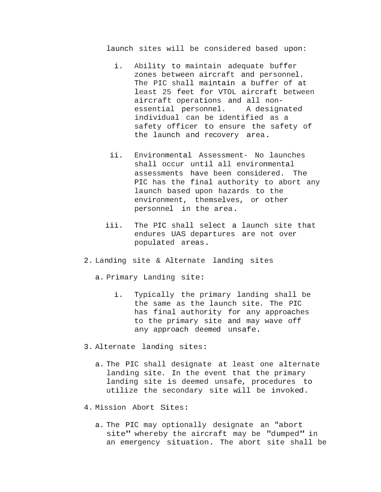launch sites will be considered based upon:

- i. Ability to maintain adequate buffer zones between aircraft and personnel. The PIC shall maintain a buffer of at least 25 feet for VTOL aircraft between aircraft operations and all nonessential personnel. A designated individual can be identified as a safety officer to ensure the safety of the launch and recovery area.
- ii. Environmental Assessment- No launches shall occur until all environmental assessments have been considered. The PIC has the final authority to abort any launch based upon hazards to the environment, themselves, or other personnel in the area.
- iii. The PIC shall select a launch site that endures UAS departures are not over populated areas.
- 2. Landing site & Alternate landing sites
	- a. Primary Landing site:
		- i. Typically the primary landing shall be the same as the launch site. The PIC has final authority for any approaches to the primary site and may wave off any approach deemed unsafe.
- 3. Alternate landing sites:
	- a. The PIC shall designate at least one alternate landing site. In the event that the primary landing site is deemed unsafe, procedures to utilize the secondary site will be invoked.
- 4. Mission Abort Sites:
	- a. The PIC may optionally designate an "abort site" whereby the aircraft may be "dumped" in an emergency situation. The abort site shall be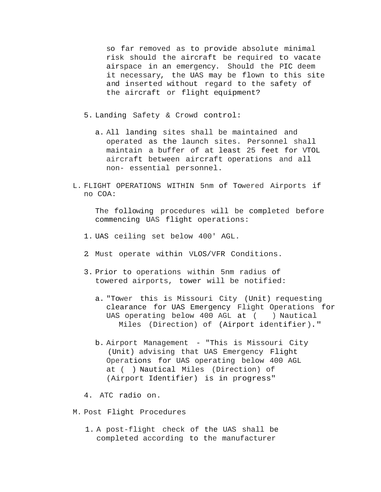so far removed as to provide absolute minimal risk should the aircraft be required to vacate airspace in an emergency. Should the PIC deem it necessary, the UAS may be flown to this site and inserted without regard to the safety of the aircraft or flight equipment?

5. Landing Safety & Crowd control:

- a. All landing sites shall be maintained and operated as the launch sites. Personnel shall maintain a buffer of at least 25 feet for VTOL aircraft between aircraft operations and all non- essential personnel.
- L. FLIGHT OPERATIONS WITHIN 5nm of Towered Airports if no COA:

The following procedures will be completed before commencing UAS flight operations:

- 1. UAS ceiling set below 400' AGL.
- 2. Must operate within VLOS/VFR Conditions.
- 3. Prior to operations within 5nm radius of towered airports, tower will be notified:
	- a. "Tower this is Missouri City (Unit) requesting clearance for UAS Emergency Flight Operations for UAS operating below 400 AGL at ( ) Nautical Miles (Direction) of (Airport identifier)."
	- b. Airport Management "This is Missouri City (Unit) advising that UAS Emergency Flight Operations for UAS operating below 400 AGL at ( ) Nautical Miles (Direction) of (Airport Identifier) is in progress"

4. ATC radio on.

- M. Post Flight Procedures
	- 1. A post-flight check of the UAS shall be completed according to the manufacturer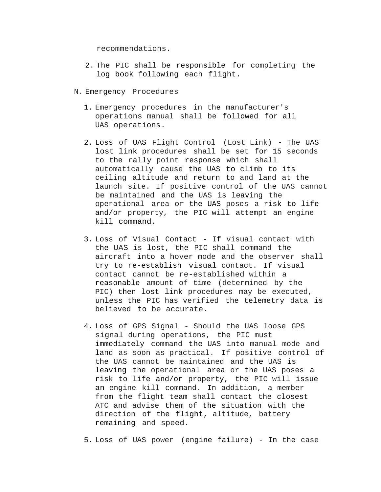recommendations.

- 2. The PIC shall be responsible for completing the log book following each flight.
- N. Emergency Procedures
	- 1. Emergency procedures in the manufacturer's operations manual shall be followed for all UAS operations.
	- 2. Loss of UAS Flight Control (Lost Link) The UAS lost link procedures shall be set for 15 seconds to the rally point response which shall automatically cause the UAS to climb to its ceiling altitude and return to and land at the launch site. If positive control of the UAS cannot be maintained and the UAS is leaving the operational area or the UAS poses a risk to life and/or property, the PIC will attempt an engine kill command.
	- 3. Loss of Visual Contact If visual contact with the UAS is lost, the PIC shall command the aircraft into a hover mode and the observer shall try to re-establish visual contact. If visual contact cannot be re-established within a reasonable amount of time (determined by the PIC) then lost link procedures may be executed, unless the PIC has verified the telemetry data is believed to be accurate.
	- 4. Loss of GPS Signal Should the UAS loose GPS signal during operations, the PIC must immediately command the UAS into manual mode and land as soon as practical. If positive control of the UAS cannot be maintained and the UAS is leaving the operational area or the UAS poses a risk to life and/or property, the PIC will issue an engine kill command. In addition, a member from the flight team shall contact the closest ATC and advise them of the situation with the direction of the flight, altitude, battery remaining and speed.
	- 5. Loss of UAS power (engine failure) In the case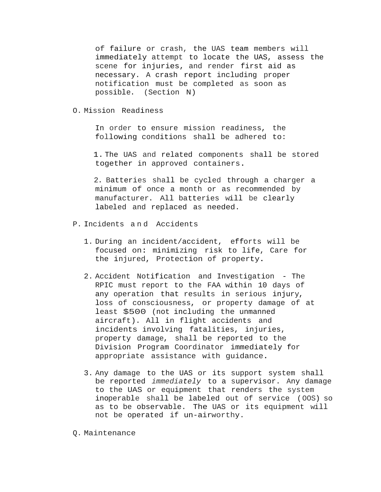of failure or crash, the UAS team members will immediately attempt to locate the UAS, assess the scene for injuries, and render first aid as necessary. A crash report including proper notification must be completed as soon as possible. (Section N)

### O. Mission Readiness

In order to ensure mission readiness, the following conditions shall be adhered to:

1. The UAS and related components shall be stored together in approved containers.

2. Batteries shall be cycled through a charger a minimum of once a month or as recommended by manufacturer. All batteries will be clearly labeled and replaced as needed.

- P. Incidents a n d Accidents
	- 1. During an incident/accident, efforts will be focused on: minimizing risk to life, Care for the injured, Protection of property.
	- 2. Accident Notification and Investigation The RPIC must report to the FAA within 10 days of any operation that results in serious injury, loss of consciousness, or property damage of at least \$500 (not including the unmanned aircraft). All in flight accidents and incidents involving fatalities, injuries, property damage, shall be reported to the Division Program Coordinator immediately for appropriate assistance with guidance.
	- 3. Any damage to the UAS or its support system shall be reported *immediately* to a supervisor. Any damage to the UAS or equipment that renders the system inoperable shall be labeled out of service (OOS) so as to be observable. The UAS or its equipment will not be operated if un-airworthy.

Q. Maintenance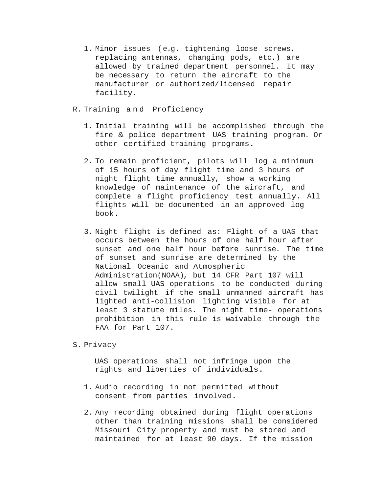1. Minor issues (e.g. tightening loose screws, replacing antennas, changing pods, etc.) are allowed by trained department personnel. It may be necessary to return the aircraft to the manufacturer or authorized/licensed repair facility.

## R. Training a n d Proficiency

- 1. Initial training will be accomplished through the fire & police department UAS training program. Or other certified training programs.
- 2. To remain proficient, pilots will log a minimum of 15 hours of day flight time and 3 hours of night flight time annually, show a working knowledge of maintenance of the aircraft, and complete a flight proficiency test annually. All flights will be documented in an approved log book.
- 3. Night flight is defined as: Flight of a UAS that occurs between the hours of one half hour after sunset and one half hour before sunrise. The time of sunset and sunrise are determined by the National Oceanic and Atmospheric Administration(NOAA), but 14 CFR Part 107 will allow small UAS operations to be conducted during civil twilight if the small unmanned aircraft has lighted anti-collision lighting visible for at least 3 statute miles. The night time- operations prohibition in this rule is waivable through the FAA for Part 107.

# S. Privacy

UAS operations shall not infringe upon the rights and liberties of individuals.

- 1. Audio recording in not permitted without consent from parties involved.
- 2. Any recording obtained during flight operations other than training missions shall be considered Missouri City property and must be stored and maintained for at least 90 days. If the mission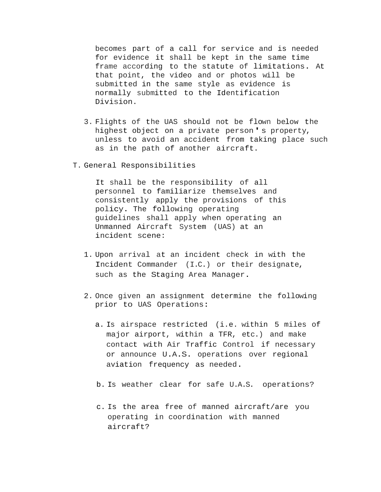becomes part of a call for service and is needed for evidence it shall be kept in the same time frame according to the statute of limitations. At that point, the video and or photos will be submitted in the same style as evidence is normally submitted to the Identification Division.

- 3. Flights of the UAS should not be flown below the highest object on a private person's property, unless to avoid an accident from taking place such as in the path of another aircraft.
- T. General Responsibilities

It shall be the responsibility of all personnel to familiarize themselves and consistently apply the provisions of this policy. The following operating guidelines shall apply when operating an Unmanned Aircraft System (UAS) at an incident scene:

- 1. Upon arrival at an incident check in with the Incident Commander (I.C.) or their designate, such as the Staging Area Manager.
- 2. Once given an assignment determine the following prior to UAS Operations:
	- a. Is airspace restricted (i.e. within 5 miles of major airport, within a TFR, etc.) and make contact with Air Traffic Control if necessary or announce U.A.S. operations over regional aviation frequency as needed.
	- b. Is weather clear for safe U.A.S. operations?
	- c. Is the area free of manned aircraft/are you operating in coordination with manned aircraft?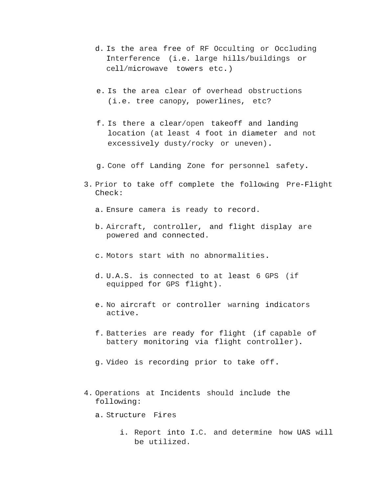- d. Is the area free of RF Occulting or Occluding Interference (i.e. large hills/buildings or cell/microwave towers etc.)
- e. Is the area clear of overhead obstructions (i.e. tree canopy, powerlines, etc?
- f. Is there a clear/open takeoff and landing location (at least 4 foot in diameter and not excessively dusty/rocky or uneven).
- g. Cone off Landing Zone for personnel safety.
- 3. Prior to take off complete the following Pre-Flight Check:
	- a. Ensure camera is ready to record.
	- b. Aircraft, controller, and flight display are powered and connected.
	- c. Motors start with no abnormalities.
	- d. U.A.S. is connected to at least 6 GPS (if equipped for GPS flight).
	- e. No aircraft or controller warning indicators active.
	- f. Batteries are ready for flight (if capable of battery monitoring via flight controller).
	- g. Video is recording prior to take off.
- 4. Operations at Incidents should include the following:
	- a. Structure Fires
		- i. Report into I.C. and determine how UAS will be utilized.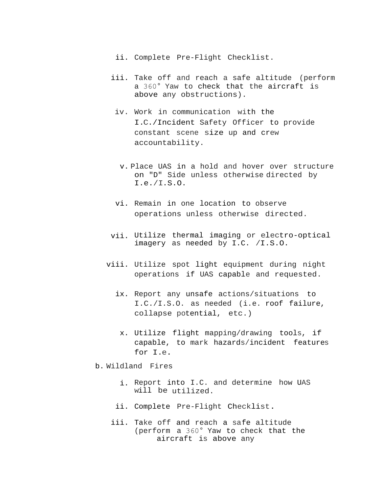- ii. Complete Pre-Flight Checklist.
- iii. Take off and reach a safe altitude (perform a 360° Yaw to check that the aircraft is above any obstructions).
	- iv. Work in communication with the I.C./Incident Safety Officer to provide constant scene size up and crew accountability.
		- v. Place UAS in a hold and hover over structure on "D" Side unless otherwise directed by I.e./I.S.O.
	- vi. Remain in one location to observe operations unless otherwise directed.
- vii. Utilize thermal imaging or electro-optical imagery as needed by I.C. /I.S.O.
- viii. Utilize spot light equipment during night operations if UAS capable and requested.
	- ix. Report any unsafe actions/situations to I.C./I.S.O. as needed (i.e. roof failure, collapse potential, etc.)
		- x. Utilize flight mapping/drawing tools, if capable, to mark hazards/incident features for I.e.
- b. Wildland Fires
	- i. Report into I.C. and determine how UAS will be utilized.
	- ii. Complete Pre-Flight Checklist.
	- iii. Take off and reach a safe altitude (perform a 360° Yaw to check that the aircraft is above any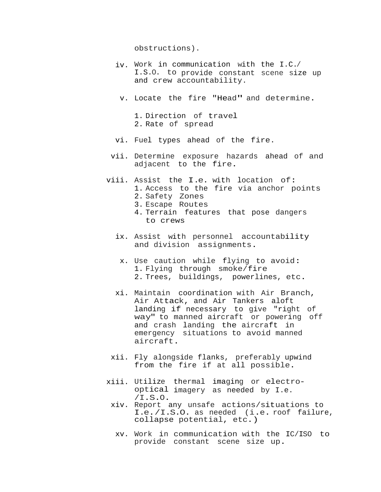obstructions).

to crews

- iv. Work in communication with the I.C./ I.S.O. to provide constant scene size up and crew accountability.
	- v. Locate the fire "Head" and determine.

1. Direction of travel 2. Rate of spread

- vi. Fuel types ahead of the fire.
- vii. Determine exposure hazards ahead of and adjacent to the fire.
- viii. Assist the I.e. with location of: 1. Access to the fire via anchor points 2. Safety Zones 3. Escape Routes 4. Terrain features that pose dangers
	- ix. Assist with personnel accountability and division assignments.
	- x. Use caution while flying to avoid: 1. Flying through smoke/fire 2. Trees, buildings, powerlines, etc.
	- xi. Maintain coordination with Air Branch, Air Attack, and Air Tankers aloft landing if necessary to give "right of way" to manned aircraft or powering off and crash landing the aircraft in emergency situations to avoid manned aircraft.
	- xii. Fly alongside flanks, preferably upwind from the fire if at all possible.
- xiii. Utilize thermal imaging or electrooptical imagery as needed by I.e. /I.S.O.
	- xiv. Report any unsafe actions/situations to I.e./I.S.O. as needed (i.e. roof failure, collapse potential, etc.)
		- xv. Work in communication with the IC/ISO to provide constant scene size up.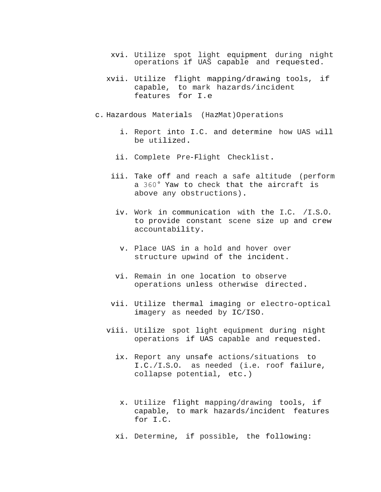- xvi. Utilize spot light equipment during night operations if UAS capable and requested.
- xvii. Utilize flight mapping/drawing tools, if capable, to mark hazards/incident features for I.e
- c. Hazardous Materials (HazMat)Operations
	- i. Report into I.C. and determine how UAS will be utilized.
	- ii. Complete Pre-Flight Checklist.
	- iii. Take off and reach a safe altitude (perform a 360° Yaw to check that the aircraft is above any obstructions).
		- iv. Work in communication with the I.C. /I.S.O. to provide constant scene size up and crew accountability.
			- v. Place UAS in a hold and hover over structure upwind of the incident.
	- vi. Remain in one location to observe operations unless otherwise directed.
	- vii. Utilize thermal imaging or electro-optical imagery as needed by IC/ISO.
	- viii. Utilize spot light equipment during night operations if UAS capable and requested.
		- ix. Report any unsafe actions/situations to I.C./I.S.O. as needed (i.e. roof failure, collapse potential, etc.)
			- x. Utilize flight mapping/drawing tools, if capable, to mark hazards/incident features for I.C.
		- xi. Determine, if possible, the following: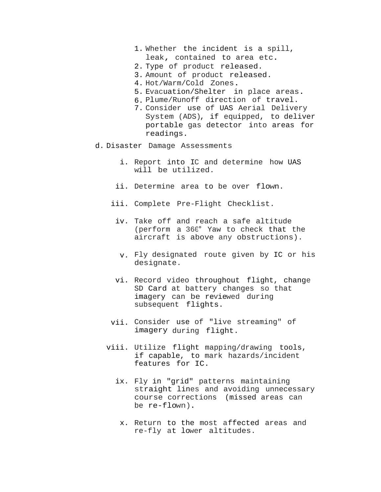- 1. Whether the incident is a spill, leak, contained to area etc.
- 2. Type of product released.
- 3. Amount of product released.
- 4. Hot/Warm/Cold Zones.
- 5. Evacuation/Shelter in place areas.
- 6. Plume/Runoff direction of travel.
- 7. Consider use of UAS Aerial Delivery System (ADS), if equipped, to deliver portable gas detector into areas for readings.
- d. Disaster Damage Assessments
	- i. Report into IC and determine how UAS will be utilized.
	- ii. Determine area to be over flown.
	- iii. Complete Pre-Flight Checklist.
		- iv. Take off and reach a safe altitude (perform a 360° Yaw to check that the aircraft is above any obstructions).
			- v. Fly designated route given by IC or his designate.
	- vi. Record video throughout flight, change SD Card at battery changes so that imagery can be reviewed during subsequent flights.
	- vii. Consider use of "live streaming" of imagery during flight.
	- viii. Utilize flight mapping/drawing tools, if capable, to mark hazards/incident features for IC.
		- ix. Fly in "grid" patterns maintaining straight lines and avoiding unnecessary course corrections (missed areas can be re-flown).
			- x. Return to the most affected areas and re-fly at lower altitudes.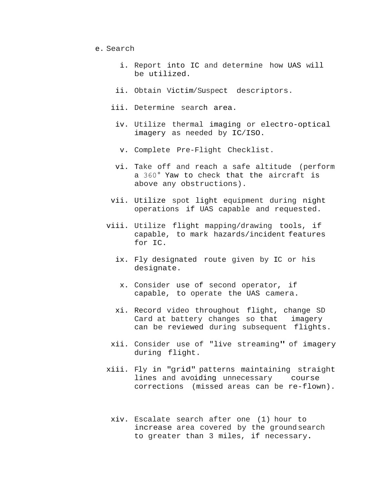- e. Search
	- i. Report into IC and determine how UAS will be utilized.
	- ii. Obtain Victim/Suspect descriptors.
	- iii. Determine search area.
		- iv. Utilize thermal imaging or electro-optical imagery as needed by IC/ISO.
			- v. Complete Pre-Flight Checklist.
		- vi. Take off and reach a safe altitude (perform a 360° Yaw to check that the aircraft is above any obstructions).
	- vii. Utilize spot light equipment during night operations if UAS capable and requested.
	- viii. Utilize flight mapping/drawing tools, if capable, to mark hazards/incident features for IC.
		- ix. Fly designated route given by IC or his designate.
			- x. Consider use of second operator, if capable, to operate the UAS camera.
		- xi. Record video throughout flight, change SD Card at battery changes so that imagery can be reviewed during subsequent flights.
		- xii. Consider use of "live streaming" of imagery during flight.
	- xiii. Fly in "grid" patterns maintaining straight lines and avoiding unnecessary course corrections (missed areas can be re-flown).
		- xiv. Escalate search after one (1) hour to increase area covered by the ground search to greater than 3 miles, if necessary.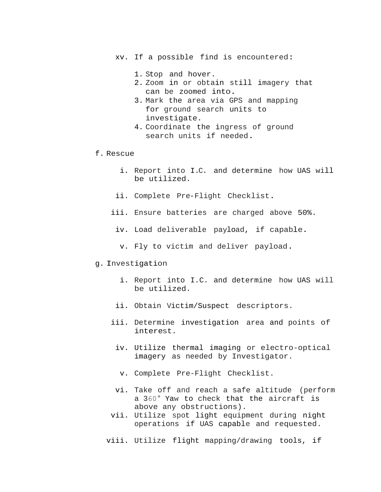xv. If a possible find is encountered:

- 1. Stop and hover.
- 2. Zoom in or obtain still imagery that can be zoomed into.
- 3. Mark the area via GPS and mapping for ground search units to investigate.
- 4. Coordinate the ingress of ground search units if needed.
- f. Rescue
	- i. Report into I.C. and determine how UAS will be utilized.
	- ii. Complete Pre-Flight Checklist.
	- iii. Ensure batteries are charged above 50%.
		- iv. Load deliverable payload, if capable.
		- v. Fly to victim and deliver payload.

#### g. Investigation

- i. Report into I.C. and determine how UAS will be utilized.
- ii. Obtain Victim/Suspect descriptors.
- iii. Determine investigation area and points of interest.
	- iv. Utilize thermal imaging or electro-optical imagery as needed by Investigator.
		- v. Complete Pre-Flight Checklist.
- vi. Take off and reach a safe altitude (perform a 360° Yaw to check that the aircraft is above any obstructions).
- vii. Utilize spot light equipment during night operations if UAS capable and requested.
- viii. Utilize flight mapping/drawing tools, if